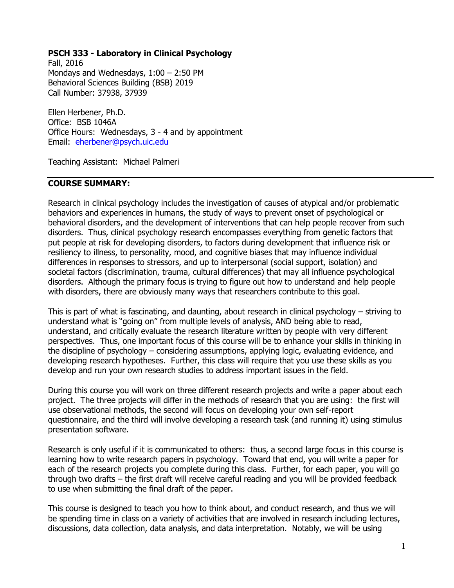#### **PSCH 333 - Laboratory in Clinical Psychology**

Fall, 2016 Mondays and Wednesdays, 1:00 – 2:50 PM Behavioral Sciences Building (BSB) 2019 Call Number: 37938, 37939

Ellen Herbener, Ph.D. Office: BSB 1046A Office Hours: Wednesdays, 3 - 4 and by appointment Email: [eherbener@psych.uic.edu](mailto:eherbener@psych.uic.edu)

Teaching Assistant: Michael Palmeri

#### **COURSE SUMMARY:**

Research in clinical psychology includes the investigation of causes of atypical and/or problematic behaviors and experiences in humans, the study of ways to prevent onset of psychological or behavioral disorders, and the development of interventions that can help people recover from such disorders. Thus, clinical psychology research encompasses everything from genetic factors that put people at risk for developing disorders, to factors during development that influence risk or resiliency to illness, to personality, mood, and cognitive biases that may influence individual differences in responses to stressors, and up to interpersonal (social support, isolation) and societal factors (discrimination, trauma, cultural differences) that may all influence psychological disorders. Although the primary focus is trying to figure out how to understand and help people with disorders, there are obviously many ways that researchers contribute to this goal.

This is part of what is fascinating, and daunting, about research in clinical psychology – striving to understand what is "going on" from multiple levels of analysis, AND being able to read, understand, and critically evaluate the research literature written by people with very different perspectives. Thus, one important focus of this course will be to enhance your skills in thinking in the discipline of psychology – considering assumptions, applying logic, evaluating evidence, and developing research hypotheses. Further, this class will require that you use these skills as you develop and run your own research studies to address important issues in the field.

During this course you will work on three different research projects and write a paper about each project. The three projects will differ in the methods of research that you are using: the first will use observational methods, the second will focus on developing your own self-report questionnaire, and the third will involve developing a research task (and running it) using stimulus presentation software.

Research is only useful if it is communicated to others: thus, a second large focus in this course is learning how to write research papers in psychology. Toward that end, you will write a paper for each of the research projects you complete during this class. Further, for each paper, you will go through two drafts – the first draft will receive careful reading and you will be provided feedback to use when submitting the final draft of the paper.

This course is designed to teach you how to think about, and conduct research, and thus we will be spending time in class on a variety of activities that are involved in research including lectures, discussions, data collection, data analysis, and data interpretation. Notably, we will be using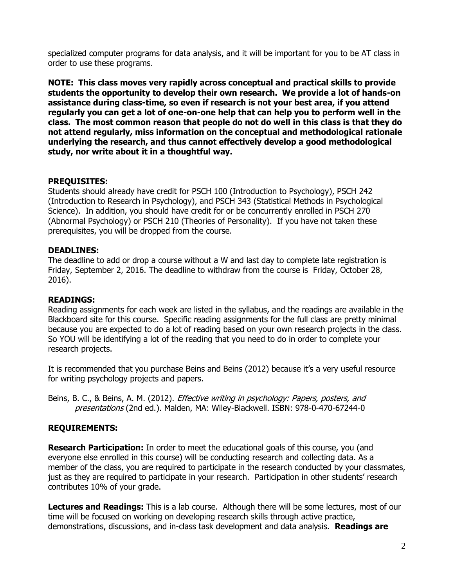specialized computer programs for data analysis, and it will be important for you to be AT class in order to use these programs.

**NOTE: This class moves very rapidly across conceptual and practical skills to provide students the opportunity to develop their own research. We provide a lot of hands-on assistance during class-time, so even if research is not your best area, if you attend regularly you can get a lot of one-on-one help that can help you to perform well in the class. The most common reason that people do not do well in this class is that they do not attend regularly, miss information on the conceptual and methodological rationale underlying the research, and thus cannot effectively develop a good methodological study, nor write about it in a thoughtful way.**

#### **PREQUISITES:**

Students should already have credit for PSCH 100 (Introduction to Psychology), PSCH 242 (Introduction to Research in Psychology), and PSCH 343 (Statistical Methods in Psychological Science). In addition, you should have credit for or be concurrently enrolled in PSCH 270 (Abnormal Psychology) or PSCH 210 (Theories of Personality). If you have not taken these prerequisites, you will be dropped from the course.

#### **DEADLINES:**

The deadline to add or drop a course without a W and last day to complete late registration is Friday, September 2, 2016. The deadline to withdraw from the course is Friday, October 28, 2016).

#### **READINGS:**

Reading assignments for each week are listed in the syllabus, and the readings are available in the Blackboard site for this course. Specific reading assignments for the full class are pretty minimal because you are expected to do a lot of reading based on your own research projects in the class. So YOU will be identifying a lot of the reading that you need to do in order to complete your research projects.

It is recommended that you purchase Beins and Beins (2012) because it's a very useful resource for writing psychology projects and papers.

Beins, B. C., & Beins, A. M. (2012). *Effective writing in psychology: Papers, posters, and* presentations (2nd ed.). Malden, MA: Wiley-Blackwell. ISBN: 978-0-470-67244-0

#### **REQUIREMENTS:**

**Research Participation:** In order to meet the educational goals of this course, you (and everyone else enrolled in this course) will be conducting research and collecting data. As a member of the class, you are required to participate in the research conducted by your classmates, just as they are required to participate in your research. Participation in other students' research contributes 10% of your grade.

**Lectures and Readings:** This is a lab course. Although there will be some lectures, most of our time will be focused on working on developing research skills through active practice, demonstrations, discussions, and in-class task development and data analysis. **Readings are**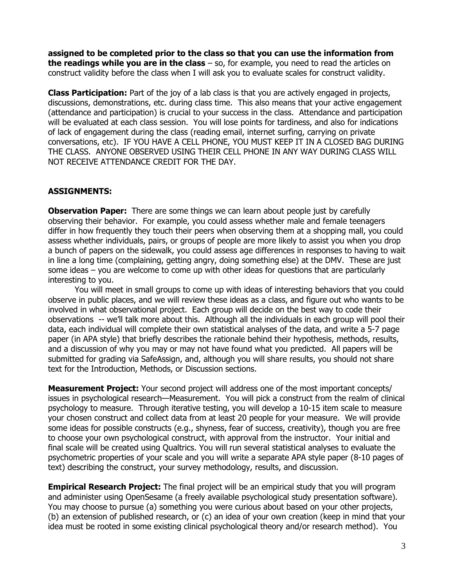**assigned to be completed prior to the class so that you can use the information from the readings while you are in the class** – so, for example, you need to read the articles on construct validity before the class when I will ask you to evaluate scales for construct validity.

**Class Participation:** Part of the joy of a lab class is that you are actively engaged in projects, discussions, demonstrations, etc. during class time. This also means that your active engagement (attendance and participation) is crucial to your success in the class. Attendance and participation will be evaluated at each class session. You will lose points for tardiness, and also for indications of lack of engagement during the class (reading email, internet surfing, carrying on private conversations, etc). IF YOU HAVE A CELL PHONE, YOU MUST KEEP IT IN A CLOSED BAG DURING THE CLASS. ANYONE OBSERVED USING THEIR CELL PHONE IN ANY WAY DURING CLASS WILL NOT RECEIVE ATTENDANCE CREDIT FOR THE DAY.

#### **ASSIGNMENTS:**

**Observation Paper:** There are some things we can learn about people just by carefully observing their behavior. For example, you could assess whether male and female teenagers differ in how frequently they touch their peers when observing them at a shopping mall, you could assess whether individuals, pairs, or groups of people are more likely to assist you when you drop a bunch of papers on the sidewalk, you could assess age differences in responses to having to wait in line a long time (complaining, getting angry, doing something else) at the DMV. These are just some ideas – you are welcome to come up with other ideas for questions that are particularly interesting to you.

You will meet in small groups to come up with ideas of interesting behaviors that you could observe in public places, and we will review these ideas as a class, and figure out who wants to be involved in what observational project. Each group will decide on the best way to code their observations -- we'll talk more about this. Although all the individuals in each group will pool their data, each individual will complete their own statistical analyses of the data, and write a 5-7 page paper (in APA style) that briefly describes the rationale behind their hypothesis, methods, results, and a discussion of why you may or may not have found what you predicted. All papers will be submitted for grading via SafeAssign, and, although you will share results, you should not share text for the Introduction, Methods, or Discussion sections.

**Measurement Project:** Your second project will address one of the most important concepts/ issues in psychological research—Measurement. You will pick a construct from the realm of clinical psychology to measure. Through iterative testing, you will develop a 10-15 item scale to measure your chosen construct and collect data from at least 20 people for your measure. We will provide some ideas for possible constructs (e.g., shyness, fear of success, creativity), though you are free to choose your own psychological construct, with approval from the instructor. Your initial and final scale will be created using Qualtrics. You will run several statistical analyses to evaluate the psychometric properties of your scale and you will write a separate APA style paper (8-10 pages of text) describing the construct, your survey methodology, results, and discussion.

**Empirical Research Project:** The final project will be an empirical study that you will program and administer using OpenSesame (a freely available psychological study presentation software). You may choose to pursue (a) something you were curious about based on your other projects, (b) an extension of published research, or (c) an idea of your own creation (keep in mind that your idea must be rooted in some existing clinical psychological theory and/or research method). You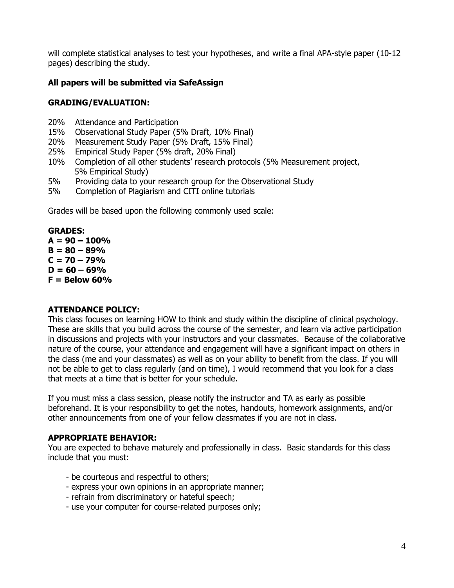will complete statistical analyses to test your hypotheses, and write a final APA-style paper (10-12 pages) describing the study.

# **All papers will be submitted via SafeAssign**

### **GRADING/EVALUATION:**

- 20% Attendance and Participation
- 15% Observational Study Paper (5% Draft, 10% Final)
- 20% Measurement Study Paper (5% Draft, 15% Final)
- 25% Empirical Study Paper (5% draft, 20% Final)
- 10% Completion of all other students' research protocols (5% Measurement project, 5% Empirical Study)
- 5% Providing data to your research group for the Observational Study
- 5% Completion of Plagiarism and CITI online tutorials

Grades will be based upon the following commonly used scale:

**GRADES:**  $A = 90 - 100%$  $B = 80 - 89%$  $C = 70 - 79%$  $D = 60 - 69%$ **F = Below 60%**

#### **ATTENDANCE POLICY:**

This class focuses on learning HOW to think and study within the discipline of clinical psychology. These are skills that you build across the course of the semester, and learn via active participation in discussions and projects with your instructors and your classmates. Because of the collaborative nature of the course, your attendance and engagement will have a significant impact on others in the class (me and your classmates) as well as on your ability to benefit from the class. If you will not be able to get to class regularly (and on time), I would recommend that you look for a class that meets at a time that is better for your schedule.

If you must miss a class session, please notify the instructor and TA as early as possible beforehand. It is your responsibility to get the notes, handouts, homework assignments, and/or other announcements from one of your fellow classmates if you are not in class.

#### **APPROPRIATE BEHAVIOR:**

You are expected to behave maturely and professionally in class. Basic standards for this class include that you must:

- be courteous and respectful to others;
- express your own opinions in an appropriate manner;
- refrain from discriminatory or hateful speech;
- use your computer for course-related purposes only;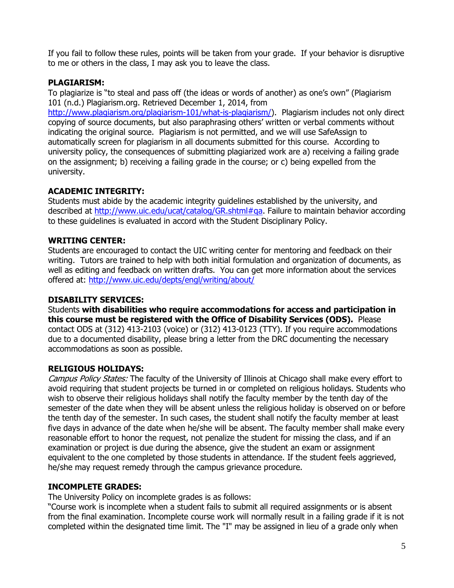If you fail to follow these rules, points will be taken from your grade. If your behavior is disruptive to me or others in the class, I may ask you to leave the class.

# **PLAGIARISM:**

To plagiarize is "to steal and pass off (the ideas or words of another) as one's own" (Plagiarism 101 (n.d.) Plagiarism.org. Retrieved December 1, 2014, from

[http://www.plagiarism.org/plagiarism-101/what-is-plagiarism/\)](http://www.plagiarism.org/plagiarism-101/what-is-plagiarism/). Plagiarism includes not only direct copying of source documents, but also paraphrasing others' written or verbal comments without indicating the original source. Plagiarism is not permitted, and we will use SafeAssign to automatically screen for plagiarism in all documents submitted for this course. According to university policy, the consequences of submitting plagiarized work are a) receiving a failing grade on the assignment; b) receiving a failing grade in the course; or c) being expelled from the university.

# **ACADEMIC INTEGRITY:**

Students must abide by the academic integrity guidelines established by the university, and described at [http://www.uic.edu/ucat/catalog/GR.shtml#qa.](http://www.uic.edu/ucat/catalog/GR.shtml#qa) Failure to maintain behavior according to these guidelines is evaluated in accord with the Student Disciplinary Policy.

# **WRITING CENTER:**

Students are encouraged to contact the UIC writing center for mentoring and feedback on their writing. Tutors are trained to help with both initial formulation and organization of documents, as well as editing and feedback on written drafts. You can get more information about the services offered at:<http://www.uic.edu/depts/engl/writing/about/>

#### **DISABILITY SERVICES:**

Students **with disabilities who require accommodations for access and participation in this course must be registered with the Office of Disability Services (ODS).** Please contact ODS at (312) 413-2103 (voice) or (312) 413-0123 (TTY). If you require accommodations due to a documented disability, please bring a letter from the DRC documenting the necessary accommodations as soon as possible.

#### **RELIGIOUS HOLIDAYS:**

Campus Policy States: The faculty of the University of Illinois at Chicago shall make every effort to avoid requiring that student projects be turned in or completed on religious holidays. Students who wish to observe their religious holidays shall notify the faculty member by the tenth day of the semester of the date when they will be absent unless the religious holiday is observed on or before the tenth day of the semester. In such cases, the student shall notify the faculty member at least five days in advance of the date when he/she will be absent. The faculty member shall make every reasonable effort to honor the request, not penalize the student for missing the class, and if an examination or project is due during the absence, give the student an exam or assignment equivalent to the one completed by those students in attendance. If the student feels aggrieved, he/she may request remedy through the campus grievance procedure.

#### **INCOMPLETE GRADES:**

The University Policy on incomplete grades is as follows:

"Course work is incomplete when a student fails to submit all required assignments or is absent from the final examination. Incomplete course work will normally result in a failing grade if it is not completed within the designated time limit. The "I" may be assigned in lieu of a grade only when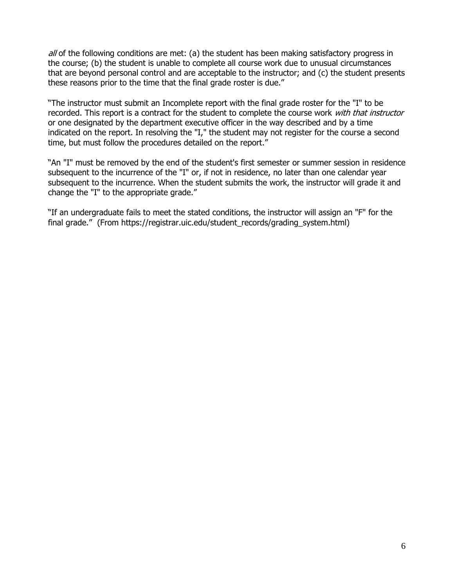$al$  of the following conditions are met: (a) the student has been making satisfactory progress in the course; (b) the student is unable to complete all course work due to unusual circumstances that are beyond personal control and are acceptable to the instructor; and (c) the student presents these reasons prior to the time that the final grade roster is due."

"The instructor must submit an Incomplete report with the final grade roster for the "I" to be recorded. This report is a contract for the student to complete the course work with that instructor or one designated by the department executive officer in the way described and by a time indicated on the report. In resolving the "I," the student may not register for the course a second time, but must follow the procedures detailed on the report."

"An "I" must be removed by the end of the student's first semester or summer session in residence subsequent to the incurrence of the "I" or, if not in residence, no later than one calendar year subsequent to the incurrence. When the student submits the work, the instructor will grade it and change the "I" to the appropriate grade."

"If an undergraduate fails to meet the stated conditions, the instructor will assign an "F" for the final grade." (From https://registrar.uic.edu/student\_records/grading\_system.html)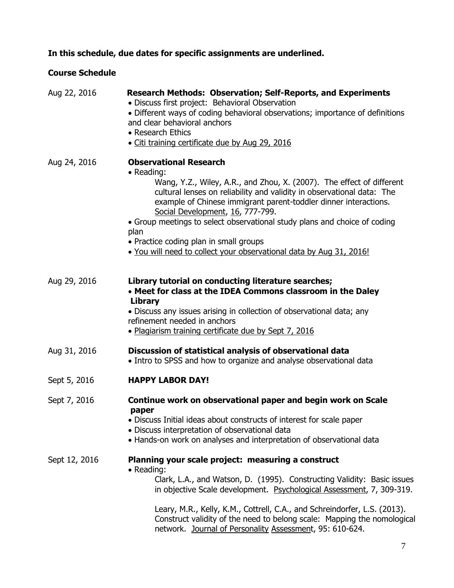# **In this schedule, due dates for specific assignments are underlined.**

# **Course Schedule**

| Aug 22, 2016  | <b>Research Methods: Observation; Self-Reports, and Experiments</b><br>• Discuss first project: Behavioral Observation<br>• Different ways of coding behavioral observations; importance of definitions<br>and clear behavioral anchors<br>• Research Ethics<br>· Citi training certificate due by Aug 29, 2016                                                                                                                                                                                              |
|---------------|--------------------------------------------------------------------------------------------------------------------------------------------------------------------------------------------------------------------------------------------------------------------------------------------------------------------------------------------------------------------------------------------------------------------------------------------------------------------------------------------------------------|
| Aug 24, 2016  | <b>Observational Research</b><br>• Reading:<br>Wang, Y.Z., Wiley, A.R., and Zhou, X. (2007). The effect of different<br>cultural lenses on reliability and validity in observational data: The<br>example of Chinese immigrant parent-toddler dinner interactions.<br>Social Development, 16, 777-799.<br>• Group meetings to select observational study plans and choice of coding<br>plan<br>• Practice coding plan in small groups<br>. You will need to collect your observational data by Aug 31, 2016! |
| Aug 29, 2016  | Library tutorial on conducting literature searches;<br>• Meet for class at the IDEA Commons classroom in the Daley<br>Library<br>• Discuss any issues arising in collection of observational data; any<br>refinement needed in anchors<br>. Plagiarism training certificate due by Sept 7, 2016                                                                                                                                                                                                              |
| Aug 31, 2016  | Discussion of statistical analysis of observational data<br>• Intro to SPSS and how to organize and analyse observational data                                                                                                                                                                                                                                                                                                                                                                               |
| Sept 5, 2016  | <b>HAPPY LABOR DAY!</b>                                                                                                                                                                                                                                                                                                                                                                                                                                                                                      |
| Sept 7, 2016  | Continue work on observational paper and begin work on Scale<br>paper<br>• Discuss Initial ideas about constructs of interest for scale paper<br>• Discuss interpretation of observational data<br>• Hands-on work on analyses and interpretation of observational data                                                                                                                                                                                                                                      |
| Sept 12, 2016 | Planning your scale project: measuring a construct<br>• Reading:<br>Clark, L.A., and Watson, D. (1995). Constructing Validity: Basic issues<br>in objective Scale development. Psychological Assessment, 7, 309-319.<br>Leary, M.R., Kelly, K.M., Cottrell, C.A., and Schreindorfer, L.S. (2013).<br>Construct validity of the need to belong scale: Mapping the nomological<br>network. Journal of Personality Assessment, 95: 610-624.                                                                     |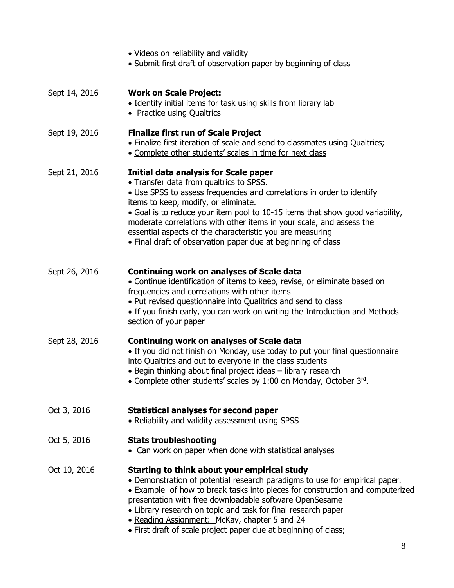|               | • Videos on reliability and validity<br>• Submit first draft of observation paper by beginning of class                                                                                                                                                                                                                                                                                                                                                                                         |
|---------------|-------------------------------------------------------------------------------------------------------------------------------------------------------------------------------------------------------------------------------------------------------------------------------------------------------------------------------------------------------------------------------------------------------------------------------------------------------------------------------------------------|
| Sept 14, 2016 | <b>Work on Scale Project:</b><br>• Identify initial items for task using skills from library lab<br>• Practice using Qualtrics                                                                                                                                                                                                                                                                                                                                                                  |
| Sept 19, 2016 | <b>Finalize first run of Scale Project</b><br>• Finalize first iteration of scale and send to classmates using Qualtrics;<br>• Complete other students' scales in time for next class                                                                                                                                                                                                                                                                                                           |
| Sept 21, 2016 | <b>Initial data analysis for Scale paper</b><br>• Transfer data from qualtrics to SPSS.<br>• Use SPSS to assess frequencies and correlations in order to identify<br>items to keep, modify, or eliminate.<br>• Goal is to reduce your item pool to 10-15 items that show good variability,<br>moderate correlations with other items in your scale, and assess the<br>essential aspects of the characteristic you are measuring<br>• Final draft of observation paper due at beginning of class |
| Sept 26, 2016 | <b>Continuing work on analyses of Scale data</b><br>• Continue identification of items to keep, revise, or eliminate based on<br>frequencies and correlations with other items<br>• Put revised questionnaire into Qualitrics and send to class<br>• If you finish early, you can work on writing the Introduction and Methods<br>section of your paper                                                                                                                                         |
| Sept 28, 2016 | <b>Continuing work on analyses of Scale data</b><br>• If you did not finish on Monday, use today to put your final questionnaire<br>into Qualtrics and out to everyone in the class students<br>• Begin thinking about final project ideas - library research<br>• Complete other students' scales by 1:00 on Monday, October 3rd                                                                                                                                                               |
| Oct 3, 2016   | <b>Statistical analyses for second paper</b><br>• Reliability and validity assessment using SPSS                                                                                                                                                                                                                                                                                                                                                                                                |
| Oct 5, 2016   | <b>Stats troubleshooting</b><br>• Can work on paper when done with statistical analyses                                                                                                                                                                                                                                                                                                                                                                                                         |
| Oct 10, 2016  | Starting to think about your empirical study<br>. Demonstration of potential research paradigms to use for empirical paper.<br>• Example of how to break tasks into pieces for construction and computerized<br>presentation with free downloadable software OpenSesame<br>• Library research on topic and task for final research paper<br>. Reading Assignment: McKay, chapter 5 and 24<br>. First draft of scale project paper due at beginning of class;                                    |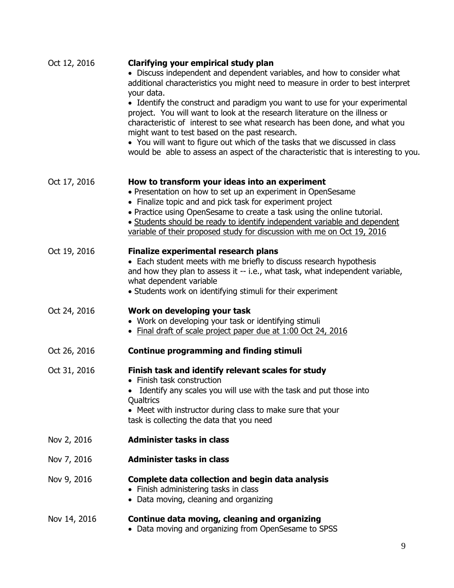| Oct 12, 2016 | Clarifying your empirical study plan<br>• Discuss independent and dependent variables, and how to consider what<br>additional characteristics you might need to measure in order to best interpret<br>your data.<br>• Identify the construct and paradigm you want to use for your experimental<br>project. You will want to look at the research literature on the illness or<br>characteristic of interest to see what research has been done, and what you<br>might want to test based on the past research.<br>• You will want to figure out which of the tasks that we discussed in class<br>would be able to assess an aspect of the characteristic that is interesting to you. |
|--------------|---------------------------------------------------------------------------------------------------------------------------------------------------------------------------------------------------------------------------------------------------------------------------------------------------------------------------------------------------------------------------------------------------------------------------------------------------------------------------------------------------------------------------------------------------------------------------------------------------------------------------------------------------------------------------------------|
| Oct 17, 2016 | How to transform your ideas into an experiment<br>• Presentation on how to set up an experiment in OpenSesame<br>• Finalize topic and and pick task for experiment project<br>• Practice using OpenSesame to create a task using the online tutorial.<br>• Students should be ready to identify independent variable and dependent<br>variable of their proposed study for discussion with me on Oct 19, 2016                                                                                                                                                                                                                                                                         |
| Oct 19, 2016 | <b>Finalize experimental research plans</b><br>• Each student meets with me briefly to discuss research hypothesis<br>and how they plan to assess it -- i.e., what task, what independent variable,<br>what dependent variable<br>• Students work on identifying stimuli for their experiment                                                                                                                                                                                                                                                                                                                                                                                         |
| Oct 24, 2016 | Work on developing your task<br>• Work on developing your task or identifying stimuli<br>• Final draft of scale project paper due at 1:00 Oct 24, 2016                                                                                                                                                                                                                                                                                                                                                                                                                                                                                                                                |
| Oct 26, 2016 | <b>Continue programming and finding stimuli</b>                                                                                                                                                                                                                                                                                                                                                                                                                                                                                                                                                                                                                                       |
| Oct 31, 2016 | Finish task and identify relevant scales for study<br>• Finish task construction<br>Identify any scales you will use with the task and put those into<br>Qualtrics<br>• Meet with instructor during class to make sure that your<br>task is collecting the data that you need                                                                                                                                                                                                                                                                                                                                                                                                         |
| Nov 2, 2016  | <b>Administer tasks in class</b>                                                                                                                                                                                                                                                                                                                                                                                                                                                                                                                                                                                                                                                      |
| Nov 7, 2016  | <b>Administer tasks in class</b>                                                                                                                                                                                                                                                                                                                                                                                                                                                                                                                                                                                                                                                      |
| Nov 9, 2016  | Complete data collection and begin data analysis<br>• Finish administering tasks in class<br>• Data moving, cleaning and organizing                                                                                                                                                                                                                                                                                                                                                                                                                                                                                                                                                   |
| Nov 14, 2016 | Continue data moving, cleaning and organizing<br>• Data moving and organizing from OpenSesame to SPSS                                                                                                                                                                                                                                                                                                                                                                                                                                                                                                                                                                                 |